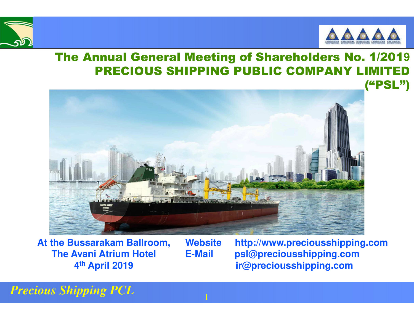



("PSL")

#### The Annual General Meeting of Shareholders No. 1/201**9**PRECIOUS SHIPPING PUBLIC COMPANY LIMITED

1

**At the Bussarakam Ballroom, The Avani Atrium Hotel 4th April 2019**

**Website http://www.preciousshipping.comE-Mail psl@preciousshipping.comir@preciousshipping.com**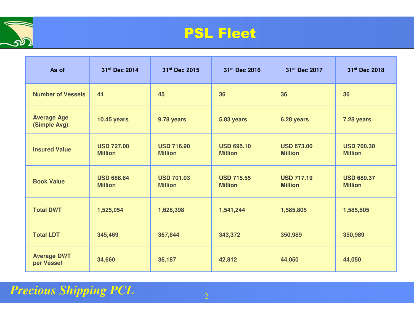

#### PSL Fleet

| As of                              | 31st Dec 2014                       | 31st Dec 2015                       | 31st Dec 2016                       | 31st Dec 2017                       | 31st Dec 2018                       |
|------------------------------------|-------------------------------------|-------------------------------------|-------------------------------------|-------------------------------------|-------------------------------------|
| <b>Number of Vessels</b>           | 44                                  | 45                                  | 36                                  | 36                                  | 36                                  |
| <b>Average Age</b><br>(Simple Avg) | <b>10.45 years</b>                  | 9.78 years                          | 5.83 years                          | 6.28 years                          | 7.28 years                          |
| <b>Insured Value</b>               | <b>USD 727.00</b><br><b>Million</b> | <b>USD 716.90</b><br><b>Million</b> | <b>USD 695.10</b><br><b>Million</b> | <b>USD 673.00</b><br><b>Million</b> | <b>USD 700.30</b><br><b>Million</b> |
| <b>Book Value</b>                  | <b>USD 668.84</b><br><b>Million</b> | <b>USD 701.03</b><br><b>Million</b> | <b>USD 715.55</b><br><b>Million</b> | <b>USD 717.19</b><br><b>Million</b> | <b>USD 689.37</b><br><b>Million</b> |
| <b>Total DWT</b>                   | 1,525,054                           | 1,628,398                           | 1,541,244                           | 1,585,805                           | 1,585,805                           |
| <b>Total LDT</b>                   | 345,469                             | 367,844                             | 343,372                             | 350,989                             | 350,989                             |
| <b>Average DWT</b><br>per Vessel   | 34,660                              | 36,187                              | 42,812                              | 44,050                              | 44,050                              |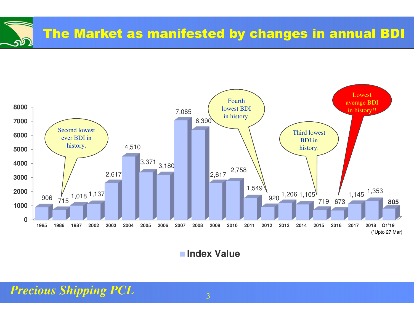



**Index Value**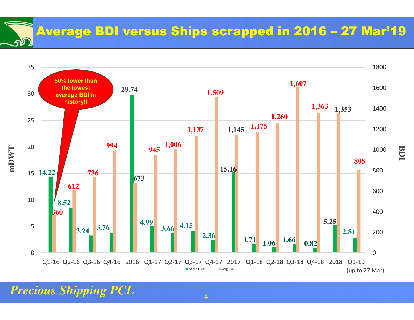Average BDI versus Ships scrapped in 2016 – 27 Mar'19



4

*Precious Shipping PCL*

 $\mathbf{p}$ 

**BDI**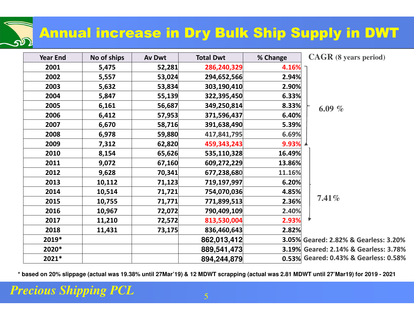### Annual increase in Dry Bulk Ship Supply in DWT

| <b>Year End</b> | No of ships | <b>Av Dwt</b> | <b>Total Dwt</b> | % Change | <b>CAGR</b> (8 years period)          |
|-----------------|-------------|---------------|------------------|----------|---------------------------------------|
| 2001            | 5,475       | 52,281        | 286,240,329      | 4.16%    |                                       |
| 2002            | 5,557       | 53,024        | 294,652,566      | 2.94%    |                                       |
| 2003            | 5,632       | 53,834        | 303,190,410      | 2.90%    |                                       |
| 2004            | 5,847       | 55,139        | 322,395,450      | 6.33%    |                                       |
| 2005            | 6,161       | 56,687        | 349,250,814      | 8.33%    | 6.09 $%$                              |
| 2006            | 6,412       | 57,953        | 371,596,437      | 6.40%    |                                       |
| 2007            | 6,670       | 58,716        | 391,638,490      | 5.39%    |                                       |
| 2008            | 6,978       | 59,880        | 417,841,795      | 6.69%    |                                       |
| 2009            | 7,312       | 62,820        | 459,343,243      | 9.93%    |                                       |
| 2010            | 8,154       | 65,626        | 535,110,328      | 16.49%   |                                       |
| 2011            | 9,072       | 67,160        | 609,272,229      | 13.86%   |                                       |
| 2012            | 9,628       | 70,341        | 677,238,680      | 11.16%   |                                       |
| 2013            | 10,112      | 71,123        | 719,197,997      | 6.20%    |                                       |
| 2014            | 10,514      | 71,721        | 754,070,036      | 4.85%    |                                       |
| 2015            | 10,755      | 71,771        | 771,899,513      | 2.36%    | $7.41\%$                              |
| 2016            | 10,967      | 72,072        | 790,409,109      | 2.40%    |                                       |
| 2017            | 11,210      | 72,572        | 813,530,004      | 2.93%    |                                       |
| 2018            | 11,431      | 73,175        | 836,460,643      | 2.82%    |                                       |
| 2019*           |             |               | 862,013,412      |          | 3.05% Geared: 2.82% & Gearless: 3.20% |
| 2020*           |             |               | 889,541,473      |          | 3.19% Geared: 2.14% & Gearless: 3.78% |
| 2021*           |             |               | 894,244,879      |          | 0.53% Geared: 0.43% & Gearless: 0.58% |

**\* based on 20% slippage (actual was 19.38% until 27Mar'19) & 12 MDWT scrapping (actual was 2.81 MDWT until 27'Mar19) for 2019 - 2021**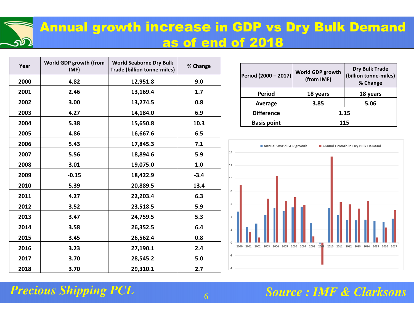#### Annual growth increase in GDP vs Dry Bulk Demand as of end of 2018

| Year | World GDP growth (from<br>IMF) | <b>World Seaborne Dry Bulk</b><br><b>Trade (billion tonne-miles)</b> | % Change |
|------|--------------------------------|----------------------------------------------------------------------|----------|
| 2000 | 4.82                           | 12,951.8                                                             | 9.0      |
| 2001 | 2.46                           | 13,169.4                                                             | 1.7      |
| 2002 | 3.00                           | 13,274.5                                                             | 0.8      |
| 2003 | 4.27                           | 14,184.0                                                             | 6.9      |
| 2004 | 5.38                           | 15,650.8                                                             | 10.3     |
| 2005 | 4.86                           | 16,667.6                                                             | 6.5      |
| 2006 | 5.43                           | 17,845.3                                                             | 7.1      |
| 2007 | 5.56                           | 18,894.6                                                             | 5.9      |
| 2008 | 3.01                           | 19,075.0                                                             | 1.0      |
| 2009 | $-0.15$                        | 18,422.9                                                             | $-3.4$   |
| 2010 | 5.39                           | 20,889.5                                                             | 13.4     |
| 2011 | 4.27                           | 22,203.4                                                             | 6.3      |
| 2012 | 3.52                           | 23,518.5                                                             | 5.9      |
| 2013 | 3.47                           | 24,759.5                                                             | 5.3      |
| 2014 | 3.58                           | 26,352.5                                                             | 6.4      |
| 2015 | 3.45                           | 26,562.4                                                             | 0.8      |
| 2016 | 3.23                           | 27,190.1                                                             | 2.4      |
| 2017 | 3.70                           | 28,545.2                                                             | 5.0      |
| 2018 | 3.70                           | 29,310.1                                                             | 2.7      |

| Period (2000 - 2017) | World GDP growth<br>(from IMF) | <b>Dry Bulk Trade</b><br>(billion tonne-miles)<br>% Change |  |
|----------------------|--------------------------------|------------------------------------------------------------|--|
| <b>Period</b>        | 18 years                       | 18 years                                                   |  |
| Average              | 3.85                           | 5.06                                                       |  |
| <b>Difference</b>    | 1.15                           |                                                            |  |
| <b>Basis point</b>   | 115                            |                                                            |  |



#### *Precious Shipping PCL*

 $\mathbf{p}$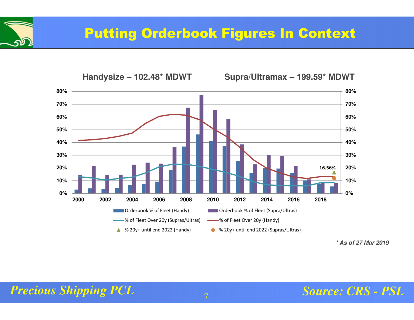



**<sup>\*</sup> As of 27 Mar 2019**

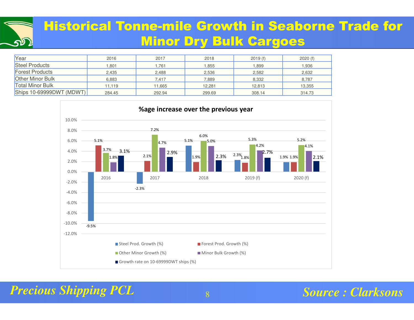#### Historical Tonne-mile Growth in Seaborne Trade for Minor Dry Bulk Cargoes

| Year                              | 2016   | 2017   | 2018   | 2019(f) | 2020(f) |
|-----------------------------------|--------|--------|--------|---------|---------|
| <b>Steel Products</b>             | 1,801  | 1,761  | .855   | 899. ا  | .936    |
| <b>Forest Products</b>            | 2,435  | 2,488  | 2,536  | 2,582   | 2,632   |
| <b>Other Minor Bulk</b>           | 6,883  | 7,417  | 7,889  | 8,332   | 8,787   |
| <b>Total Minor Bulk</b>           | 11.119 | 11,665 | 12,281 | 12,813  | 13,355  |
| $\left $ Ships 10-69999DWT (MDWT) | 284.45 | 292.94 | 299.69 | 308.14  | 314.73  |



*Precious Shipping PCL*<mark>.</mark> Kabupatèn B

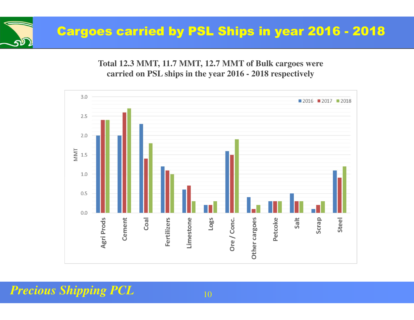

**Total 12.3 MMT, 11.7 MMT, 12.7 MMT of Bulk cargoes were carried on PSL ships in the year 2016 - 2018 respectively**

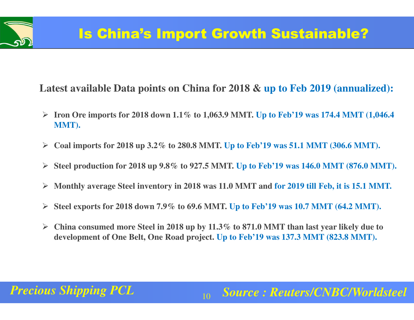#### **Latest available Data points on China for 2018 & up to Feb 2019 (annualized):**

- **Iron Ore imports for 2018 down 1.1% to 1,063.9 MMT. Up to Feb'19 was 174.4 MMT (1,046.4 MMT).**
- $\blacktriangleright$ **Coal imports for 2018 up 3.2% to 280.8 MMT. Up to Feb'19 was 51.1 MMT (306.6 MMT).**
- **Steel production for 2018 up 9.8% to 927.5 MMT. Up to Feb'19 was 146.0 MMT (876.0 MMT).**
- $\blacktriangleright$ **Monthly average Steel inventory in 2018 was 11.0 MMT and for 2019 till Feb, it is 15.1 MMT.**
- $\blacktriangleright$ **Steel exports for 2018 down 7.9% to 69.6 MMT. Up to Feb'19 was 10.7 MMT (64.2 MMT).**
- $\blacktriangleright$  **China consumed more Steel in 2018 up by 11.3% to 871.0 MMT than last year likely due to development of One Belt, One Road project. Up to Feb'19 was 137.3 MMT (823.8 MMT).**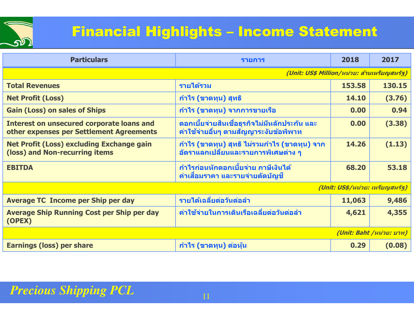

| <b>Particulars</b>                                                                           | รายการ                                                                                      | 2018                            | 2017                     |
|----------------------------------------------------------------------------------------------|---------------------------------------------------------------------------------------------|---------------------------------|--------------------------|
|                                                                                              | (Unit: US\$ Million/หน่วย: ล้านเหรียญสหรัฐ)                                                 |                                 |                          |
| <b>Total Revenues</b>                                                                        | รายได้รวม                                                                                   | 153,58                          | 130.15                   |
| <b>Net Profit (Loss)</b>                                                                     | <sub>ี</sub> กำไร (ขาดทุน) สุทธิ                                                            | 14.10                           | (3.76)                   |
| <b>Gain (Loss) on sales of Ships</b>                                                         | ้กำไร (ขาดทุน) จากการขายเรือ                                                                | 0.00                            | 0.94                     |
| <b>Interest on unsecured corporate loans and</b><br>other expenses per Settlement Agreements | ีดอกเบี้ยจ่ายสินเชื่อธุรกิจไม่มีหลักประกัน และ<br>้ค่าใช้จ่ายอื่นๆ ตามสัญญาระงับข้อพิพาท    | 0.00                            | (3.38)                   |
| <b>Net Profit (Loss) excluding Exchange gain</b><br>(loss) and Non-recurring items           | ี กำไร (ขาดทุน) สุทธิ ไม่รวมกำไร (ขาดทุน) จาก<br><u>อัตราแลกเปลี่ยนและรายการพิเศษต่าง ๆ</u> | 14.26                           | (1.13)                   |
| <b>EBITDA</b>                                                                                | ้กำไรก่อนหักดอกเบี้ยจ่าย ภาษีเงินได <i>้</i><br>้ค่าเสื่อมราคา และรายจ่ายตัดบัญชี           | 68,20                           | 53.18                    |
|                                                                                              |                                                                                             | (Unit: US\$/หน่วย: เหรียญสหรัฐ) |                          |
| <b>Average TC Income per Ship per day</b>                                                    | รายได้เฉลี่ยต่อวันต่อลำ                                                                     | 11,063                          | 9,486                    |
| <b>Average Ship Running Cost per Ship per day</b><br>(OPEX)                                  | ี่ค่าใช้จ่ายในการเดินเรือเฉลี่ยต่อวันต่อลำ                                                  | 4,621                           | 4,355                    |
|                                                                                              |                                                                                             |                                 | (Unit: Baht /หน่วย: บาท) |
| <b>Earnings (loss) per share</b>                                                             | <u>ี กำไร (ขาดทุน) ต่อหุ้น</u>                                                              | 0.29                            | (0.08)                   |
|                                                                                              |                                                                                             |                                 |                          |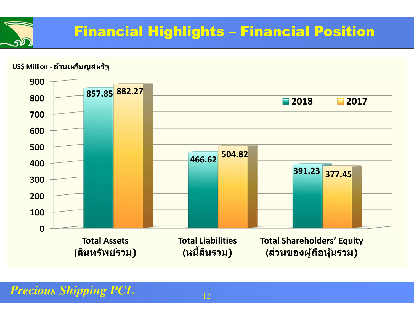

#### **US\$ Million - ล้านเหรียญสหรัฐ**

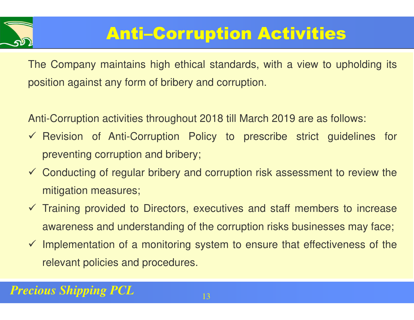

## Anti–Corruption Activities

The Company maintains high ethical standards, with a view to upholding its position against any form of bribery and corruption.

Anti-Corruption activities throughout 2018 till March 2019 are as follows:

- Revision of Anti-Corruption Policy to prescribe strict guidelines for preventing corruption and bribery;
- Conducting of regular bribery and corruption risk assessment to review the mitigation measures;
- Training provided to Directors, executives and staff members to increase awareness and understanding of the corruption risks businesses may face;
- $\checkmark$  Implementation of a monitoring system to ensure that effectiveness of the relevant policies and procedures.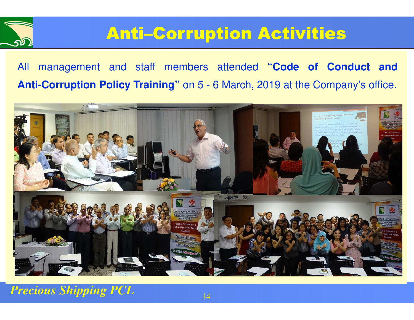

### Anti–Corruption Activities

All management and staff members attended **"Code of Conduct andAnti-Corruption Policy Training"** on <sup>5</sup> - <sup>6</sup> March, <sup>2019</sup> at the Company's office.

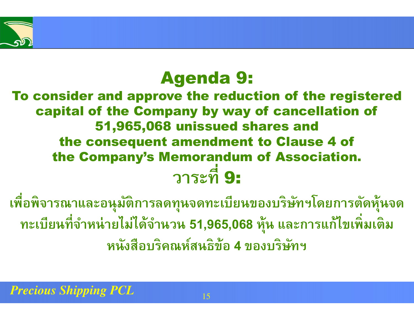### Agenda 9:

#### To consider and approve the reduction of the registered capital of the Company by way of cancellation of 51,965,068 unissued shares and the consequent amendment to Clause 4 of the Company's Memorandum of Association. **วาระที** 9:

**เพือพิจารณาและอนุมัติการลดทุนจดทะเบียนของบริษัทฯโดยการตัดหุ้นจดทะเบียนทีจําหน่ายไม่ได้จํานวน 51,965,068 หุ้น และการแก้ไขเพิมเติม หนังสือบริคณห์สนธิข้อ 4 ของบริษัทฯ**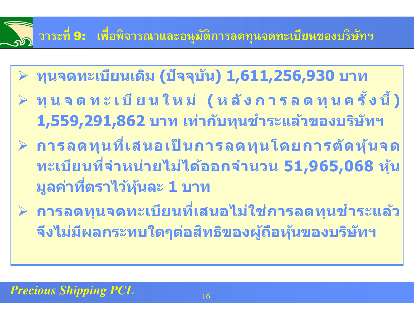### **วาระที** 9: **เพือพิจารณาและอนุมัติการลดทุนจดทะเบียนของบริษัทฯ**

- **ทุนจดทะเบียนเดิม (ปัจจุบัน) 1,611,256,930 บาท**
- $\blacktriangleright$  $\triangleright$  ทุนจดทะเบียนใหม่ (หลังการลดทุนครั้งนี้)<br>1 EEO 201 962 มาย เช่าจับชมเชื้อระบุจ้อของเริงโชย **1,559,291,862 บาท เท่ากับทุนชําระแล้วของบริษัทฯ**
- $\rho$  การลดทุนที่เสนอเป็นการลดทุนโดยการตัดหุ้นจด<br>● ละเจียมที่จำหน่อย<sup>ู่ใจม</sup>ับจ้อออจำหน่อย E1 O6E O69 งอัน **ทะเบียนทีOจําหน่ายไม่ได้ออกจํานวน 51,965,068 หุ้น** ี่ มูลค่าที่ตราไว้หุ้นละ **1** บาท
- **≻ การลดทุนจดทะเบียนที่เสนอไม่ใช่การลดทุนชำระแล้ว จึงไม่มีผลกระทบใดๆต่อสทธิของผู้ถือหุ้นของบริษัทฯ ิ**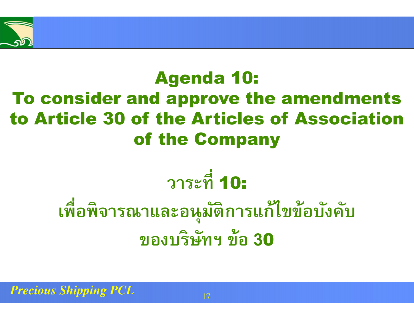

### Agenda 10: To consider and approve the amendments to Article 30 of the Articles of Association of the Company

# **วาระที** 10:

# **เพือพิจารณาและอนุมัติการแก้ไขข้อบังคับของบริษัทฯ ข้อ 3**<sup>0</sup>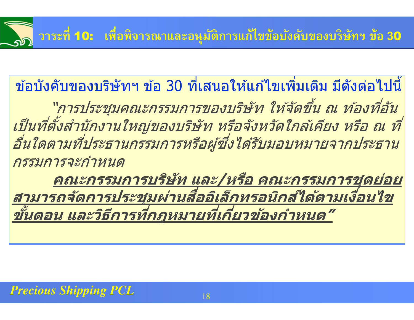# **วาระที** 10: **เพือพิจารณาและอนุมัติการแก้ไขข้อบังคับของบริษัทฯ ข้อ 3**<sup>0</sup>

ข้อบังคับของบริษัทฯ ข้อ 30 ที่เสนอให้แก้ไขเพิ่มเติม มีดังต่อไปนี้<br>"*การประชุมคณะกรรมการของบริษัท ให้จัดขึ้น ณ ท้องที่อัน* 

เป็นที่ตั้งสำนักงานใหญ่ของบริษัท หรือจังหวัดใกล้เคียง หรือ ณ ที่<br>อื่นใดตามที่ประธานกรรมการหรือผู้ซึ่งได้รับมอบหมายจากประธาน กรรมการจะกําหนด

**คณะกรรมการบริษัท และ/หรือ คณะกรรมการชุดย่อย สามารถจัดการประชุมผ่านสออิเล็กทรอนิกส ืO ได้ตามเงืOอนไข ์ ขัMนตอน และวิธีการทีOกฎหมายทีOเกีOยวข้องกําหนด"**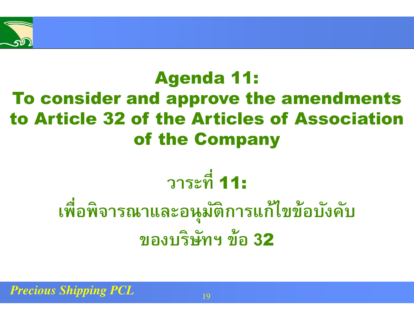

### Agenda 11: To consider and approve the amendments to Article 32 of the Articles of Association of the Company

# **วาระที** 11:

# **เพือพิจารณาและอนุมัติการแก้ไขข้อบังคับของบริษัทฯ ข้อ 3**<sup>2</sup>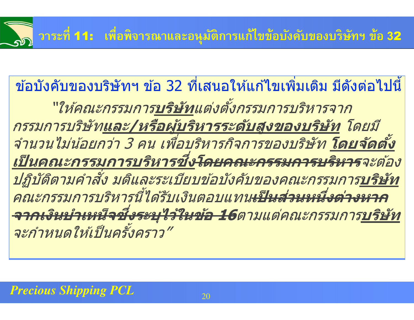# **วาระที** 11: **เพือพิจารณาและอนุมัติการแก้ไขข้อบังคับของบริษัทฯ ข้อ 3**<sup>2</sup>

้ ข้อบังคับของบริษัทฯ ข้อ 32 ที่เสนอให้แก้ไขเพิ่มเติม มีดังต่อไปนี้ <u>"ให้คณะกรรมการบริษัทแต่งตั้งกรรมการบริหารจาก</u> กรรมการบริษัท**และ/หรือผู้บริหารระดับสูงของบริษัท** โดยมี จำนวนไม่น้อยกว่า 3 คน เพื่อบริหารกิจการของบริษัท **โดยจัดตั้ง** <u>เป็นคณะกรรมการบริหารชึ่ง<del>โดยคณะกรรมการบริหาร</del>จะต้อง<br>ปภิบัติตามคำสั่ง มติและระเบียบข้อบังคับของคณะกรรมการบริษัท</u> ปฏิบัติตามคำสั่ง มติและระเบียบข้อบังคับของคณะกรรมการ**บริษัท** คณะกรรมการบริหารนี ได ้รับเงินตอบแทน**เป็ นสวนหนึOงต่าง ่ หาก จากเงินบําเหน็จซงระบุไว้ในข้อ 16 ึO** ตามแต่คณะกรรมการ**บริษัท**จะกำหนดให้เป็นครั้งคราว"